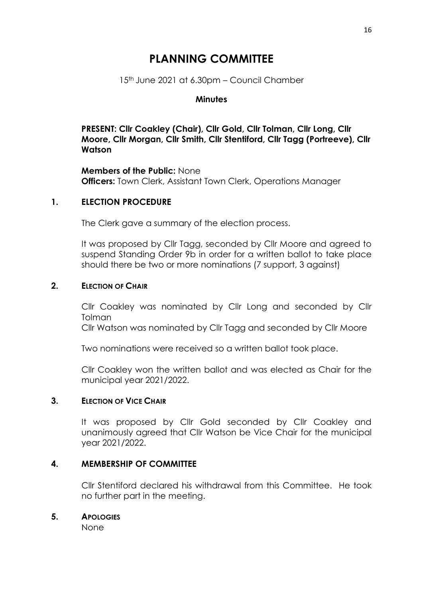# **PLANNING COMMITTEE**

15<sup>th</sup> June 2021 at 6.30pm - Council Chamber

### **Minutes**

**PRESENT: Cllr Coakley (Chair), Cllr Gold, Cllr Tolman, Cllr Long, Cllr Moore, Cllr Morgan, Cllr Smith, Cllr Stentiford, Cllr Tagg (Portreeve), Cllr Watson**

**Members of the Public:** None **Officers:** Town Clerk, Assistant Town Clerk, Operations Manager

### **1. ELECTION PROCEDURE**

The Clerk gave a summary of the election process.

It was proposed by Cllr Tagg, seconded by Cllr Moore and agreed to suspend Standing Order 9b in order for a written ballot to take place should there be two or more nominations (7 support, 3 against)

### **2. ELECTION OF CHAIR**

Cllr Coakley was nominated by Cllr Long and seconded by Cllr Tolman

Cllr Watson was nominated by Cllr Tagg and seconded by Cllr Moore

Two nominations were received so a written ballot took place.

Cllr Coakley won the written ballot and was elected as Chair for the municipal year 2021/2022.

### **3. ELECTION OF VICE CHAIR**

It was proposed by Cllr Gold seconded by Cllr Coakley and unanimously agreed that Cllr Watson be Vice Chair for the municipal year 2021/2022.

### **4. MEMBERSHIP OF COMMITTEE**

Cllr Stentiford declared his withdrawal from this Committee. He took no further part in the meeting.

### **5. APOLOGIES**

None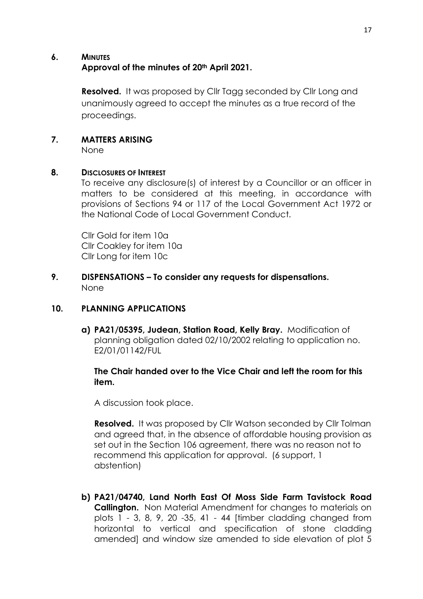### **6. MINUTES Approval of the minutes of 20th April 2021.**

**Resolved.** It was proposed by Cllr Tagg seconded by Cllr Long and unanimously agreed to accept the minutes as a true record of the proceedings.

## **7. MATTERS ARISING**

None

### **8. DISCLOSURES OF INTEREST**

To receive any disclosure(s) of interest by a Councillor or an officer in matters to be considered at this meeting, in accordance with provisions of Sections 94 or 117 of the Local Government Act 1972 or the National Code of Local Government Conduct.

Cllr Gold for item 10a Cllr Coakley for item 10a Cllr Long for item 10c

### **9. DISPENSATIONS – To consider any requests for dispensations.** None

# **10. PLANNING APPLICATIONS**

**a) PA21/05395, Judean, Station Road, Kelly Bray.** Modification of planning obligation dated 02/10/2002 relating to application no. E2/01/01142/FUL

### **The Chair handed over to the Vice Chair and left the room for this item.**

A discussion took place.

**Resolved.** It was proposed by Cllr Watson seconded by Cllr Tolman and agreed that, in the absence of affordable housing provision as set out in the Section 106 agreement, there was no reason not to recommend this application for approval. (6 support, 1 abstention)

**b) PA21/04740, Land North East Of Moss Side Farm Tavistock Road Callington.** Non Material Amendment for changes to materials on plots 1 - 3, 8, 9, 20 -35, 41 - 44 [timber cladding changed from horizontal to vertical and specification of stone cladding amended] and window size amended to side elevation of plot 5